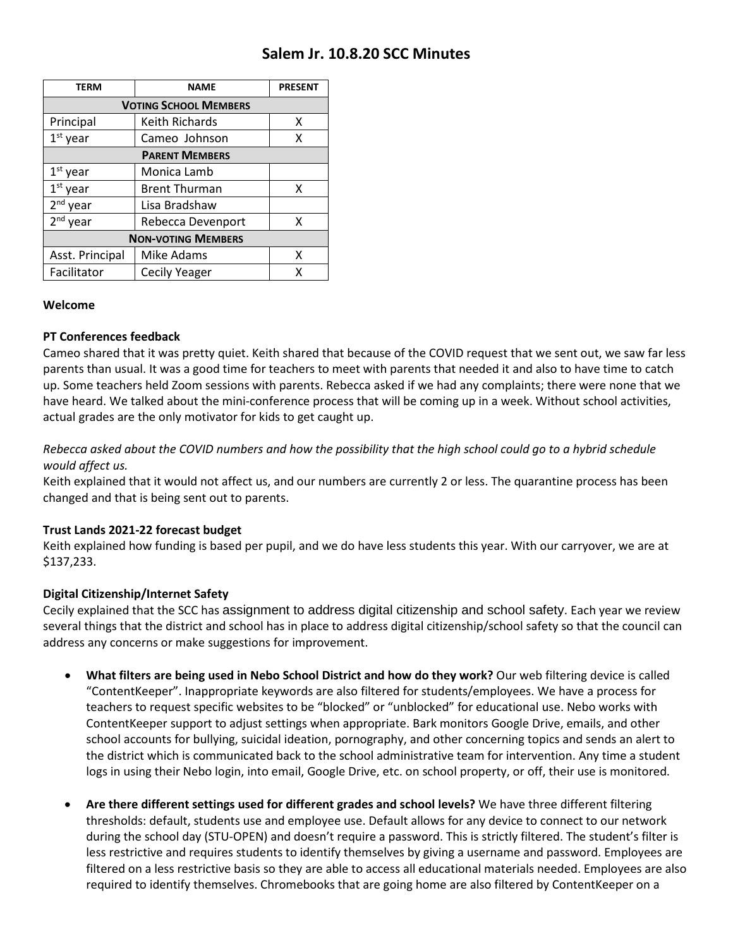# **Salem Jr. 10.8.20 SCC Minutes**

| TERM                         | <b>NAME</b>          | <b>PRESENT</b> |
|------------------------------|----------------------|----------------|
| <b>VOTING SCHOOL MEMBERS</b> |                      |                |
| Principal                    | Keith Richards       | x              |
| $1st$ year                   | Cameo Johnson        | x              |
| <b>PARENT MEMBERS</b>        |                      |                |
| $1st$ year                   | Monica Lamb          |                |
| $1st$ year                   | <b>Brent Thurman</b> | x              |
| $2nd$ year                   | Lisa Bradshaw        |                |
| 2 <sup>nd</sup> year         | Rebecca Devenport    | x              |
| <b>NON-VOTING MEMBERS</b>    |                      |                |
| Asst. Principal              | Mike Adams           | x              |
| Facilitator                  | <b>Cecily Yeager</b> | x              |

### **Welcome**

### **PT Conferences feedback**

Cameo shared that it was pretty quiet. Keith shared that because of the COVID request that we sent out, we saw far less parents than usual. It was a good time for teachers to meet with parents that needed it and also to have time to catch up. Some teachers held Zoom sessions with parents. Rebecca asked if we had any complaints; there were none that we have heard. We talked about the mini-conference process that will be coming up in a week. Without school activities, actual grades are the only motivator for kids to get caught up.

## *Rebecca asked about the COVID numbers and how the possibility that the high school could go to a hybrid schedule would affect us.*

Keith explained that it would not affect us, and our numbers are currently 2 or less. The quarantine process has been changed and that is being sent out to parents.

### **Trust Lands 2021-22 forecast budget**

Keith explained how funding is based per pupil, and we do have less students this year. With our carryover, we are at \$137,233.

### **Digital Citizenship/Internet Safety**

Cecily explained that the SCC has assignment to address digital citizenship and school safety. Each year we review several things that the district and school has in place to address digital citizenship/school safety so that the council can address any concerns or make suggestions for improvement.

- **What filters are being used in Nebo School District and how do they work?** Our web filtering device is called "ContentKeeper". Inappropriate keywords are also filtered for students/employees. We have a process for teachers to request specific websites to be "blocked" or "unblocked" for educational use. Nebo works with ContentKeeper support to adjust settings when appropriate. Bark monitors Google Drive, emails, and other school accounts for bullying, suicidal ideation, pornography, and other concerning topics and sends an alert to the district which is communicated back to the school administrative team for intervention. Any time a student logs in using their Nebo login, into email, Google Drive, etc. on school property, or off, their use is monitored.
- **Are there different settings used for different grades and school levels?** We have three different filtering thresholds: default, students use and employee use. Default allows for any device to connect to our network during the school day (STU-OPEN) and doesn't require a password. This is strictly filtered. The student's filter is less restrictive and requires students to identify themselves by giving a username and password. Employees are filtered on a less restrictive basis so they are able to access all educational materials needed. Employees are also required to identify themselves. Chromebooks that are going home are also filtered by ContentKeeper on a